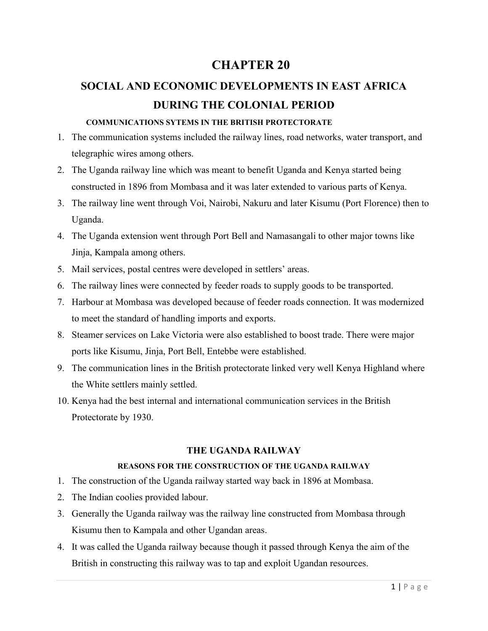# **CHAPTER 20**

# **SOCIAL AND ECONOMIC DEVELOPMENTS IN EAST AFRICA DURING THE COLONIAL PERIOD**

#### **COMMUNICATIONS SYTEMS IN THE BRITISH PROTECTORATE**

- 1. The communication systems included the railway lines, road networks, water transport, and telegraphic wires among others.
- 2. The Uganda railway line which was meant to benefit Uganda and Kenya started being constructed in 1896 from Mombasa and it was later extended to various parts of Kenya.
- 3. The railway line went through Voi, Nairobi, Nakuru and later Kisumu (Port Florence) then to Uganda.
- 4. The Uganda extension went through Port Bell and Namasangali to other major towns like Jinja, Kampala among others.
- 5. Mail services, postal centres were developed in settlers' areas.
- 6. The railway lines were connected by feeder roads to supply goods to be transported.
- 7. Harbour at Mombasa was developed because of feeder roads connection. It was modernized to meet the standard of handling imports and exports.
- 8. Steamer services on Lake Victoria were also established to boost trade. There were major ports like Kisumu, Jinja, Port Bell, Entebbe were established.
- 9. The communication lines in the British protectorate linked very well Kenya Highland where the White settlers mainly settled.
- 10. Kenya had the best internal and international communication services in the British Protectorate by 1930.

#### **THE UGANDA RAILWAY**

#### **REASONS FOR THE CONSTRUCTION OF THE UGANDA RAILWAY**

- 1. The construction of the Uganda railway started way back in 1896 at Mombasa.
- 2. The Indian coolies provided labour.
- 3. Generally the Uganda railway was the railway line constructed from Mombasa through Kisumu then to Kampala and other Ugandan areas.
- 4. It was called the Uganda railway because though it passed through Kenya the aim of the British in constructing this railway was to tap and exploit Ugandan resources.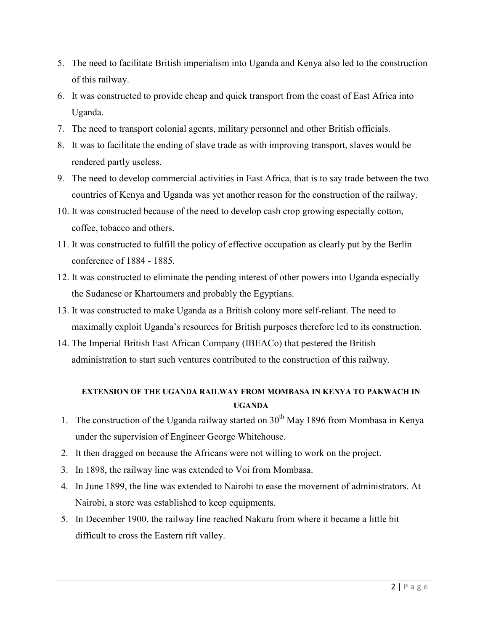- 5. The need to facilitate British imperialism into Uganda and Kenya also led to the construction of this railway.
- 6. It was constructed to provide cheap and quick transport from the coast of East Africa into Uganda.
- 7. The need to transport colonial agents, military personnel and other British officials.
- 8. It was to facilitate the ending of slave trade as with improving transport, slaves would be rendered partly useless.
- 9. The need to develop commercial activities in East Africa, that is to say trade between the two countries of Kenya and Uganda was yet another reason for the construction of the railway.
- 10. It was constructed because of the need to develop cash crop growing especially cotton, coffee, tobacco and others.
- 11. It was constructed to fulfill the policy of effective occupation as clearly put by the Berlin conference of 1884 - 1885.
- 12. It was constructed to eliminate the pending interest of other powers into Uganda especially the Sudanese or Khartoumers and probably the Egyptians.
- 13. It was constructed to make Uganda as a British colony more self-reliant. The need to maximally exploit Uganda's resources for British purposes therefore led to its construction.
- 14. The Imperial British East African Company (IBEACo) that pestered the British administration to start such ventures contributed to the construction of this railway.

### **EXTENSION OF THE UGANDA RAILWAY FROM MOMBASA IN KENYA TO PAKWACH IN UGANDA**

- 1. The construction of the Uganda railway started on  $30<sup>th</sup>$  May 1896 from Mombasa in Kenya under the supervision of Engineer George Whitehouse.
- 2. It then dragged on because the Africans were not willing to work on the project.
- 3. In 1898, the railway line was extended to Voi from Mombasa.
- 4. In June 1899, the line was extended to Nairobi to ease the movement of administrators. At Nairobi, a store was established to keep equipments.
- 5. In December 1900, the railway line reached Nakuru from where it became a little bit difficult to cross the Eastern rift valley.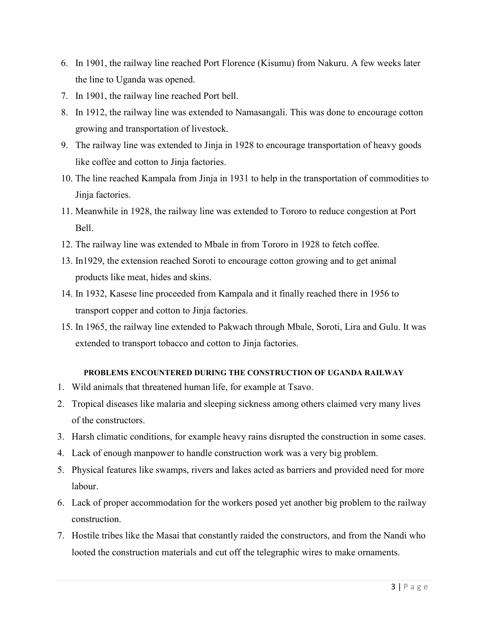- 6. In 1901, the railway line reached Port Florence (Kisumu) from Nakuru. A few weeks later the line to Uganda was opened.
- 7. In 1901, the railway line reached Port bell.
- 8. In 1912, the railway line was extended to Namasangali. This was done to encourage cotton growing and transportation of livestock.
- 9. The railway line was extended to Jinja in 1928 to encourage transportation of heavy goods like coffee and cotton to Jinja factories.
- 10. The line reached Kampala from Jinja in 1931 to help in the transportation of commodities to Jinja factories.
- 11. Meanwhile in 1928, the railway line was extended to Tororo to reduce congestion at Port Bell.
- 12. The railway line was extended to Mbale in from Tororo in 1928 to fetch coffee.
- 13. In1929, the extension reached Soroti to encourage cotton growing and to get animal products like meat, hides and skins.
- 14. In 1932, Kasese line proceeded from Kampala and it finally reached there in 1956 to transport copper and cotton to Jinja factories.
- 15. In 1965, the railway line extended to Pakwach through Mbale, Soroti, Lira and Gulu. It was extended to transport tobacco and cotton to Jinja factories.

#### **PROBLEMS ENCOUNTERED DURING THE CONSTRUCTION OF UGANDA RAILWAY**

- 1. Wild animals that threatened human life, for example at Tsavo.
- 2. Tropical diseases like malaria and sleeping sickness among others claimed very many lives of the constructors.
- 3. Harsh climatic conditions, for example heavy rains disrupted the construction in some cases.
- 4. Lack of enough manpower to handle construction work was a very big problem.
- 5. Physical features like swamps, rivers and lakes acted as barriers and provided need for more labour.
- 6. Lack of proper accommodation for the workers posed yet another big problem to the railway construction.
- 7. Hostile tribes like the Masai that constantly raided the constructors, and from the Nandi who looted the construction materials and cut off the telegraphic wires to make ornaments.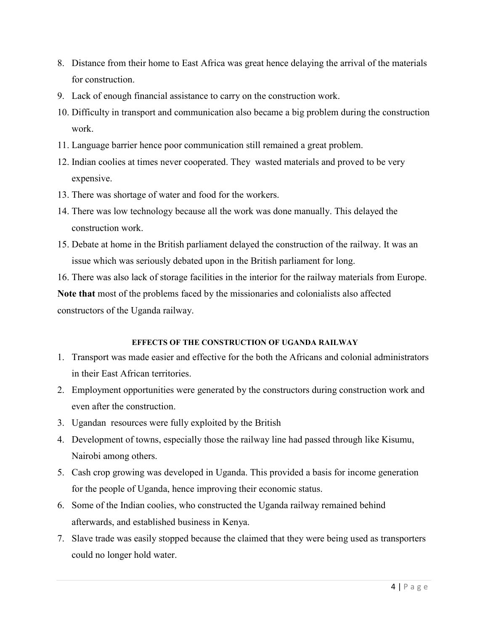- 8. Distance from their home to East Africa was great hence delaying the arrival of the materials for construction.
- 9. Lack of enough financial assistance to carry on the construction work.
- 10. Difficulty in transport and communication also became a big problem during the construction work.
- 11. Language barrier hence poor communication still remained a great problem.
- 12. Indian coolies at times never cooperated. They wasted materials and proved to be very expensive.
- 13. There was shortage of water and food for the workers.
- 14. There was low technology because all the work was done manually. This delayed the construction work.
- 15. Debate at home in the British parliament delayed the construction of the railway. It was an issue which was seriously debated upon in the British parliament for long.
- 16. There was also lack of storage facilities in the interior for the railway materials from Europe.

**Note that** most of the problems faced by the missionaries and colonialists also affected constructors of the Uganda railway.

#### **EFFECTS OF THE CONSTRUCTION OF UGANDA RAILWAY**

- 1. Transport was made easier and effective for the both the Africans and colonial administrators in their East African territories.
- 2. Employment opportunities were generated by the constructors during construction work and even after the construction.
- 3. Ugandan resources were fully exploited by the British
- 4. Development of towns, especially those the railway line had passed through like Kisumu, Nairobi among others.
- 5. Cash crop growing was developed in Uganda. This provided a basis for income generation for the people of Uganda, hence improving their economic status.
- 6. Some of the Indian coolies, who constructed the Uganda railway remained behind afterwards, and established business in Kenya.
- 7. Slave trade was easily stopped because the claimed that they were being used as transporters could no longer hold water.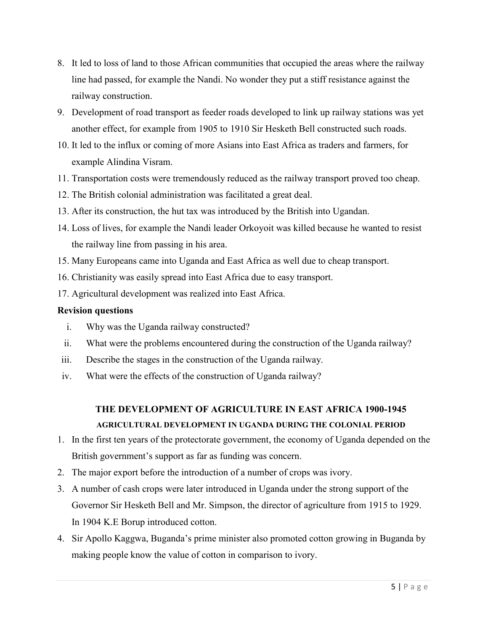- 8. It led to loss of land to those African communities that occupied the areas where the railway line had passed, for example the Nandi. No wonder they put a stiff resistance against the railway construction.
- 9. Development of road transport as feeder roads developed to link up railway stations was yet another effect, for example from 1905 to 1910 Sir Hesketh Bell constructed such roads.
- 10. It led to the influx or coming of more Asians into East Africa as traders and farmers, for example Alindina Visram.
- 11. Transportation costs were tremendously reduced as the railway transport proved too cheap.
- 12. The British colonial administration was facilitated a great deal.
- 13. After its construction, the hut tax was introduced by the British into Ugandan.
- 14. Loss of lives, for example the Nandi leader Orkoyoit was killed because he wanted to resist the railway line from passing in his area.
- 15. Many Europeans came into Uganda and East Africa as well due to cheap transport.
- 16. Christianity was easily spread into East Africa due to easy transport.
- 17. Agricultural development was realized into East Africa.

- i. Why was the Uganda railway constructed?
- ii. What were the problems encountered during the construction of the Uganda railway?
- iii. Describe the stages in the construction of the Uganda railway.
- iv. What were the effects of the construction of Uganda railway?

## **THE DEVELOPMENT OF AGRICULTURE IN EAST AFRICA 1900-1945 AGRICULTURAL DEVELOPMENT IN UGANDA DURING THE COLONIAL PERIOD**

- 1. In the first ten years of the protectorate government, the economy of Uganda depended on the British government's support as far as funding was concern.
- 2. The major export before the introduction of a number of crops was ivory.
- 3. A number of cash crops were later introduced in Uganda under the strong support of the Governor Sir Hesketh Bell and Mr. Simpson, the director of agriculture from 1915 to 1929. In 1904 K.E Borup introduced cotton.
- 4. Sir Apollo Kaggwa, Buganda's prime minister also promoted cotton growing in Buganda by making people know the value of cotton in comparison to ivory.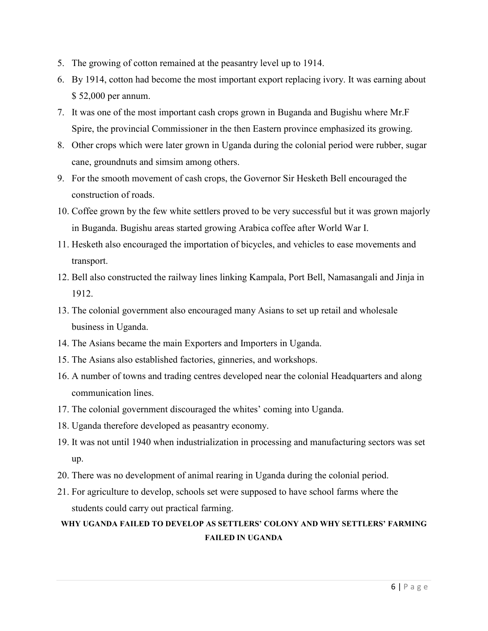- 5. The growing of cotton remained at the peasantry level up to 1914.
- 6. By 1914, cotton had become the most important export replacing ivory. It was earning about \$ 52,000 per annum.
- 7. It was one of the most important cash crops grown in Buganda and Bugishu where Mr.F Spire, the provincial Commissioner in the then Eastern province emphasized its growing.
- 8. Other crops which were later grown in Uganda during the colonial period were rubber, sugar cane, groundnuts and simsim among others.
- 9. For the smooth movement of cash crops, the Governor Sir Hesketh Bell encouraged the construction of roads.
- 10. Coffee grown by the few white settlers proved to be very successful but it was grown majorly in Buganda. Bugishu areas started growing Arabica coffee after World War I.
- 11. Hesketh also encouraged the importation of bicycles, and vehicles to ease movements and transport.
- 12. Bell also constructed the railway lines linking Kampala, Port Bell, Namasangali and Jinja in 1912.
- 13. The colonial government also encouraged many Asians to set up retail and wholesale business in Uganda.
- 14. The Asians became the main Exporters and Importers in Uganda.
- 15. The Asians also established factories, ginneries, and workshops.
- 16. A number of towns and trading centres developed near the colonial Headquarters and along communication lines.
- 17. The colonial government discouraged the whites' coming into Uganda.
- 18. Uganda therefore developed as peasantry economy.
- 19. It was not until 1940 when industrialization in processing and manufacturing sectors was set up.
- 20. There was no development of animal rearing in Uganda during the colonial period.
- 21. For agriculture to develop, schools set were supposed to have school farms where the students could carry out practical farming.

### **WHY UGANDA FAILED TO DEVELOP AS SETTLERS' COLONY AND WHY SETTLERS' FARMING FAILED IN UGANDA**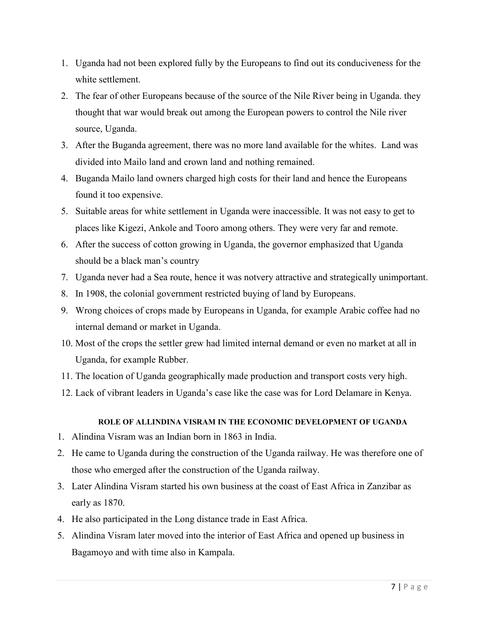- 1. Uganda had not been explored fully by the Europeans to find out its conduciveness for the white settlement.
- 2. The fear of other Europeans because of the source of the Nile River being in Uganda. they thought that war would break out among the European powers to control the Nile river source, Uganda.
- 3. After the Buganda agreement, there was no more land available for the whites. Land was divided into Mailo land and crown land and nothing remained.
- 4. Buganda Mailo land owners charged high costs for their land and hence the Europeans found it too expensive.
- 5. Suitable areas for white settlement in Uganda were inaccessible. It was not easy to get to places like Kigezi, Ankole and Tooro among others. They were very far and remote.
- 6. After the success of cotton growing in Uganda, the governor emphasized that Uganda should be a black man's country
- 7. Uganda never had a Sea route, hence it was notvery attractive and strategically unimportant.
- 8. In 1908, the colonial government restricted buying of land by Europeans.
- 9. Wrong choices of crops made by Europeans in Uganda, for example Arabic coffee had no internal demand or market in Uganda.
- 10. Most of the crops the settler grew had limited internal demand or even no market at all in Uganda, for example Rubber.
- 11. The location of Uganda geographically made production and transport costs very high.
- 12. Lack of vibrant leaders in Uganda's case like the case was for Lord Delamare in Kenya.

#### **ROLE OF ALLINDINA VISRAM IN THE ECONOMIC DEVELOPMENT OF UGANDA**

- 1. Alindina Visram was an Indian born in 1863 in India.
- 2. He came to Uganda during the construction of the Uganda railway. He was therefore one of those who emerged after the construction of the Uganda railway.
- 3. Later Alindina Visram started his own business at the coast of East Africa in Zanzibar as early as 1870.
- 4. He also participated in the Long distance trade in East Africa.
- 5. Alindina Visram later moved into the interior of East Africa and opened up business in Bagamoyo and with time also in Kampala.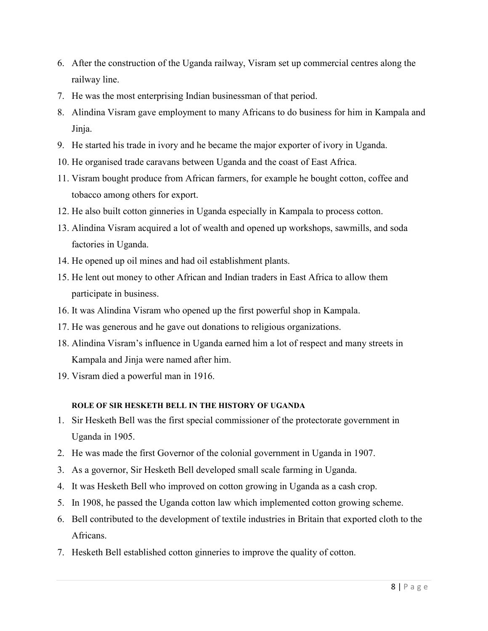- 6. After the construction of the Uganda railway, Visram set up commercial centres along the railway line.
- 7. He was the most enterprising Indian businessman of that period.
- 8. Alindina Visram gave employment to many Africans to do business for him in Kampala and Jinja.
- 9. He started his trade in ivory and he became the major exporter of ivory in Uganda.
- 10. He organised trade caravans between Uganda and the coast of East Africa.
- 11. Visram bought produce from African farmers, for example he bought cotton, coffee and tobacco among others for export.
- 12. He also built cotton ginneries in Uganda especially in Kampala to process cotton.
- 13. Alindina Visram acquired a lot of wealth and opened up workshops, sawmills, and soda factories in Uganda.
- 14. He opened up oil mines and had oil establishment plants.
- 15. He lent out money to other African and Indian traders in East Africa to allow them participate in business.
- 16. It was Alindina Visram who opened up the first powerful shop in Kampala.
- 17. He was generous and he gave out donations to religious organizations.
- 18. Alindina Visram's influence in Uganda earned him a lot of respect and many streets in Kampala and Jinja were named after him.
- 19. Visram died a powerful man in 1916.

#### **ROLE OF SIR HESKETH BELL IN THE HISTORY OF UGANDA**

- 1. Sir Hesketh Bell was the first special commissioner of the protectorate government in Uganda in 1905.
- 2. He was made the first Governor of the colonial government in Uganda in 1907.
- 3. As a governor, Sir Hesketh Bell developed small scale farming in Uganda.
- 4. It was Hesketh Bell who improved on cotton growing in Uganda as a cash crop.
- 5. In 1908, he passed the Uganda cotton law which implemented cotton growing scheme.
- 6. Bell contributed to the development of textile industries in Britain that exported cloth to the Africans.
- 7. Hesketh Bell established cotton ginneries to improve the quality of cotton.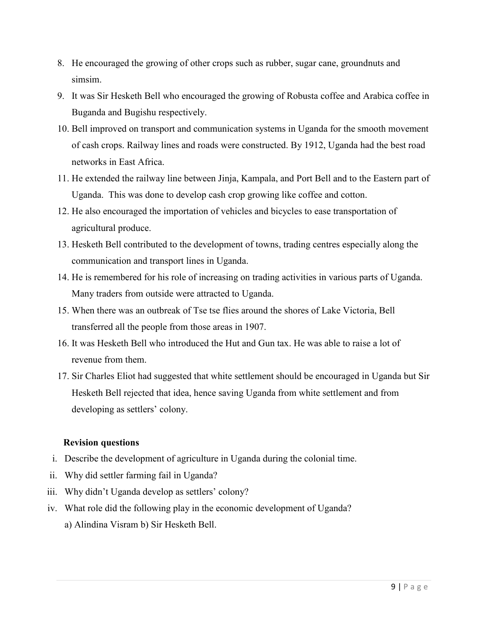- 8. He encouraged the growing of other crops such as rubber, sugar cane, groundnuts and simsim.
- 9. It was Sir Hesketh Bell who encouraged the growing of Robusta coffee and Arabica coffee in Buganda and Bugishu respectively.
- 10. Bell improved on transport and communication systems in Uganda for the smooth movement of cash crops. Railway lines and roads were constructed. By 1912, Uganda had the best road networks in East Africa.
- 11. He extended the railway line between Jinja, Kampala, and Port Bell and to the Eastern part of Uganda. This was done to develop cash crop growing like coffee and cotton.
- 12. He also encouraged the importation of vehicles and bicycles to ease transportation of agricultural produce.
- 13. Hesketh Bell contributed to the development of towns, trading centres especially along the communication and transport lines in Uganda.
- 14. He is remembered for his role of increasing on trading activities in various parts of Uganda. Many traders from outside were attracted to Uganda.
- 15. When there was an outbreak of Tse tse flies around the shores of Lake Victoria, Bell transferred all the people from those areas in 1907.
- 16. It was Hesketh Bell who introduced the Hut and Gun tax. He was able to raise a lot of revenue from them.
- 17. Sir Charles Eliot had suggested that white settlement should be encouraged in Uganda but Sir Hesketh Bell rejected that idea, hence saving Uganda from white settlement and from developing as settlers' colony.

- i. Describe the development of agriculture in Uganda during the colonial time.
- ii. Why did settler farming fail in Uganda?
- iii. Why didn't Uganda develop as settlers' colony?
- iv. What role did the following play in the economic development of Uganda? a) Alindina Visram b) Sir Hesketh Bell.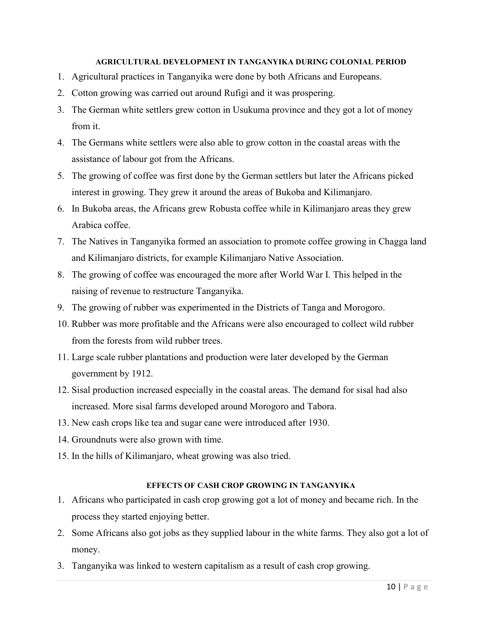#### **AGRICULTURAL DEVELOPMENT IN TANGANYIKA DURING COLONIAL PERIOD**

- 1. Agricultural practices in Tanganyika were done by both Africans and Europeans.
- 2. Cotton growing was carried out around Rufigi and it was prospering.
- 3. The German white settlers grew cotton in Usukuma province and they got a lot of money from it.
- 4. The Germans white settlers were also able to grow cotton in the coastal areas with the assistance of labour got from the Africans.
- 5. The growing of coffee was first done by the German settlers but later the Africans picked interest in growing. They grew it around the areas of Bukoba and Kilimanjaro.
- 6. In Bukoba areas, the Africans grew Robusta coffee while in Kilimanjaro areas they grew Arabica coffee.
- 7. The Natives in Tanganyika formed an association to promote coffee growing in Chagga land and Kilimanjaro districts, for example Kilimanjaro Native Association.
- 8. The growing of coffee was encouraged the more after World War I. This helped in the raising of revenue to restructure Tanganyika.
- 9. The growing of rubber was experimented in the Districts of Tanga and Morogoro.
- 10. Rubber was more profitable and the Africans were also encouraged to collect wild rubber from the forests from wild rubber trees.
- 11. Large scale rubber plantations and production were later developed by the German government by 1912.
- 12. Sisal production increased especially in the coastal areas. The demand for sisal had also increased. More sisal farms developed around Morogoro and Tabora.
- 13. New cash crops like tea and sugar cane were introduced after 1930.
- 14. Groundnuts were also grown with time.
- 15. In the hills of Kilimanjaro, wheat growing was also tried.

#### **EFFECTS OF CASH CROP GROWING IN TANGANYIKA**

- 1. Africans who participated in cash crop growing got a lot of money and became rich. In the process they started enjoying better.
- 2. Some Africans also got jobs as they supplied labour in the white farms. They also got a lot of money.
- 3. Tanganyika was linked to western capitalism as a result of cash crop growing.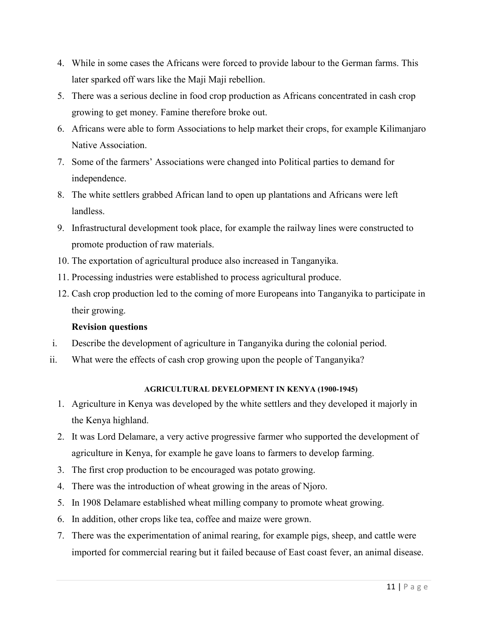- 4. While in some cases the Africans were forced to provide labour to the German farms. This later sparked off wars like the Maji Maji rebellion.
- 5. There was a serious decline in food crop production as Africans concentrated in cash crop growing to get money. Famine therefore broke out.
- 6. Africans were able to form Associations to help market their crops, for example Kilimanjaro Native Association.
- 7. Some of the farmers' Associations were changed into Political parties to demand for independence.
- 8. The white settlers grabbed African land to open up plantations and Africans were left landless.
- 9. Infrastructural development took place, for example the railway lines were constructed to promote production of raw materials.
- 10. The exportation of agricultural produce also increased in Tanganyika.
- 11. Processing industries were established to process agricultural produce.
- 12. Cash crop production led to the coming of more Europeans into Tanganyika to participate in their growing.

- i. Describe the development of agriculture in Tanganyika during the colonial period.
- ii. What were the effects of cash crop growing upon the people of Tanganyika?

#### **AGRICULTURAL DEVELOPMENT IN KENYA (1900-1945)**

- 1. Agriculture in Kenya was developed by the white settlers and they developed it majorly in the Kenya highland.
- 2. It was Lord Delamare, a very active progressive farmer who supported the development of agriculture in Kenya, for example he gave loans to farmers to develop farming.
- 3. The first crop production to be encouraged was potato growing.
- 4. There was the introduction of wheat growing in the areas of Njoro.
- 5. In 1908 Delamare established wheat milling company to promote wheat growing.
- 6. In addition, other crops like tea, coffee and maize were grown.
- 7. There was the experimentation of animal rearing, for example pigs, sheep, and cattle were imported for commercial rearing but it failed because of East coast fever, an animal disease.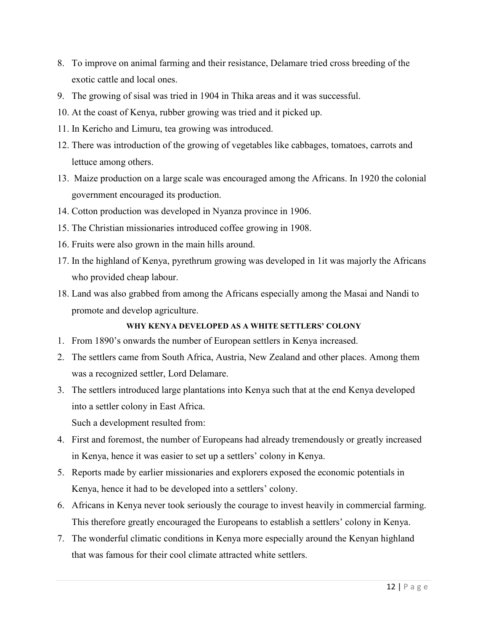- 8. To improve on animal farming and their resistance, Delamare tried cross breeding of the exotic cattle and local ones.
- 9. The growing of sisal was tried in 1904 in Thika areas and it was successful.
- 10. At the coast of Kenya, rubber growing was tried and it picked up.
- 11. In Kericho and Limuru, tea growing was introduced.
- 12. There was introduction of the growing of vegetables like cabbages, tomatoes, carrots and lettuce among others.
- 13. Maize production on a large scale was encouraged among the Africans. In 1920 the colonial government encouraged its production.
- 14. Cotton production was developed in Nyanza province in 1906.
- 15. The Christian missionaries introduced coffee growing in 1908.
- 16. Fruits were also grown in the main hills around.
- 17. In the highland of Kenya, pyrethrum growing was developed in 1it was majorly the Africans who provided cheap labour.
- 18. Land was also grabbed from among the Africans especially among the Masai and Nandi to promote and develop agriculture.

#### **WHY KENYA DEVELOPED AS A WHITE SETTLERS' COLONY**

- 1. From 1890's onwards the number of European settlers in Kenya increased.
- 2. The settlers came from South Africa, Austria, New Zealand and other places. Among them was a recognized settler, Lord Delamare.
- 3. The settlers introduced large plantations into Kenya such that at the end Kenya developed into a settler colony in East Africa. Such a development resulted from:
- 4. First and foremost, the number of Europeans had already tremendously or greatly increased in Kenya, hence it was easier to set up a settlers' colony in Kenya.
- 5. Reports made by earlier missionaries and explorers exposed the economic potentials in Kenya, hence it had to be developed into a settlers' colony.
- 6. Africans in Kenya never took seriously the courage to invest heavily in commercial farming. This therefore greatly encouraged the Europeans to establish a settlers' colony in Kenya.
- 7. The wonderful climatic conditions in Kenya more especially around the Kenyan highland that was famous for their cool climate attracted white settlers.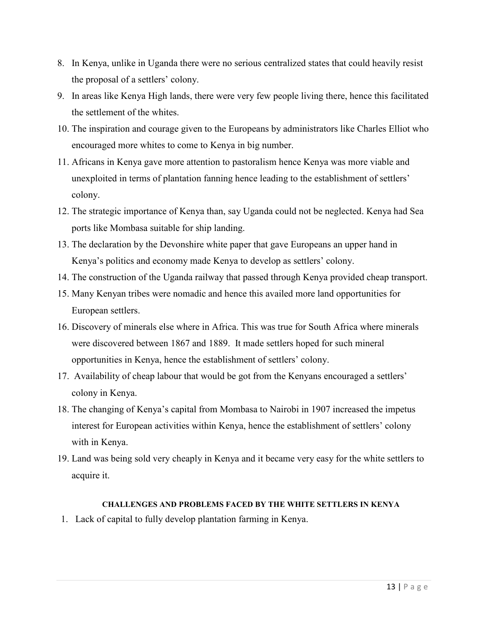- 8. In Kenya, unlike in Uganda there were no serious centralized states that could heavily resist the proposal of a settlers' colony.
- 9. In areas like Kenya High lands, there were very few people living there, hence this facilitated the settlement of the whites.
- 10. The inspiration and courage given to the Europeans by administrators like Charles Elliot who encouraged more whites to come to Kenya in big number.
- 11. Africans in Kenya gave more attention to pastoralism hence Kenya was more viable and unexploited in terms of plantation fanning hence leading to the establishment of settlers' colony.
- 12. The strategic importance of Kenya than, say Uganda could not be neglected. Kenya had Sea ports like Mombasa suitable for ship landing.
- 13. The declaration by the Devonshire white paper that gave Europeans an upper hand in Kenya's politics and economy made Kenya to develop as settlers' colony.
- 14. The construction of the Uganda railway that passed through Kenya provided cheap transport.
- 15. Many Kenyan tribes were nomadic and hence this availed more land opportunities for European settlers.
- 16. Discovery of minerals else where in Africa. This was true for South Africa where minerals were discovered between 1867 and 1889. It made settlers hoped for such mineral opportunities in Kenya, hence the establishment of settlers' colony.
- 17. Availability of cheap labour that would be got from the Kenyans encouraged a settlers' colony in Kenya.
- 18. The changing of Kenya's capital from Mombasa to Nairobi in 1907 increased the impetus interest for European activities within Kenya, hence the establishment of settlers' colony with in Kenya.
- 19. Land was being sold very cheaply in Kenya and it became very easy for the white settlers to acquire it.

#### **CHALLENGES AND PROBLEMS FACED BY THE WHITE SETTLERS IN KENYA**

1. Lack of capital to fully develop plantation farming in Kenya.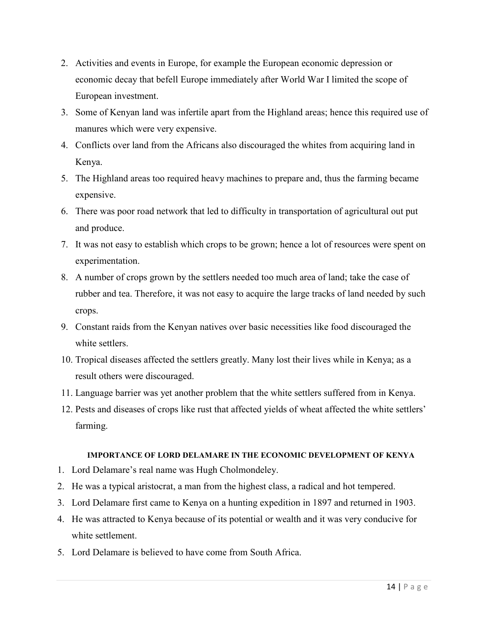- 2. Activities and events in Europe, for example the European economic depression or economic decay that befell Europe immediately after World War I limited the scope of European investment.
- 3. Some of Kenyan land was infertile apart from the Highland areas; hence this required use of manures which were very expensive.
- 4. Conflicts over land from the Africans also discouraged the whites from acquiring land in Kenya.
- 5. The Highland areas too required heavy machines to prepare and, thus the farming became expensive.
- 6. There was poor road network that led to difficulty in transportation of agricultural out put and produce.
- 7. It was not easy to establish which crops to be grown; hence a lot of resources were spent on experimentation.
- 8. A number of crops grown by the settlers needed too much area of land; take the case of rubber and tea. Therefore, it was not easy to acquire the large tracks of land needed by such crops.
- 9. Constant raids from the Kenyan natives over basic necessities like food discouraged the white settlers.
- 10. Tropical diseases affected the settlers greatly. Many lost their lives while in Kenya; as a result others were discouraged.
- 11. Language barrier was yet another problem that the white settlers suffered from in Kenya.
- 12. Pests and diseases of crops like rust that affected yields of wheat affected the white settlers' farming.

#### **IMPORTANCE OF LORD DELAMARE IN THE ECONOMIC DEVELOPMENT OF KENYA**

- 1. Lord Delamare's real name was Hugh Cholmondeley.
- 2. He was a typical aristocrat, a man from the highest class, a radical and hot tempered.
- 3. Lord Delamare first came to Kenya on a hunting expedition in 1897 and returned in 1903.
- 4. He was attracted to Kenya because of its potential or wealth and it was very conducive for white settlement.
- 5. Lord Delamare is believed to have come from South Africa.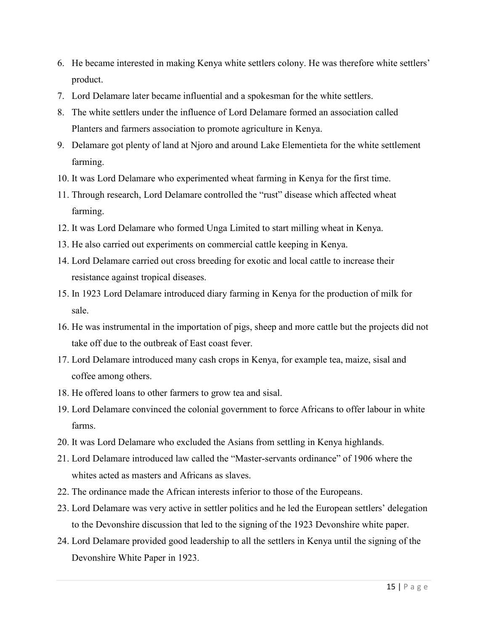- 6. He became interested in making Kenya white settlers colony. He was therefore white settlers' product.
- 7. Lord Delamare later became influential and a spokesman for the white settlers.
- 8. The white settlers under the influence of Lord Delamare formed an association called Planters and farmers association to promote agriculture in Kenya.
- 9. Delamare got plenty of land at Njoro and around Lake Elementieta for the white settlement farming.
- 10. It was Lord Delamare who experimented wheat farming in Kenya for the first time.
- 11. Through research, Lord Delamare controlled the "rust" disease which affected wheat farming.
- 12. It was Lord Delamare who formed Unga Limited to start milling wheat in Kenya.
- 13. He also carried out experiments on commercial cattle keeping in Kenya.
- 14. Lord Delamare carried out cross breeding for exotic and local cattle to increase their resistance against tropical diseases.
- 15. In 1923 Lord Delamare introduced diary farming in Kenya for the production of milk for sale.
- 16. He was instrumental in the importation of pigs, sheep and more cattle but the projects did not take off due to the outbreak of East coast fever.
- 17. Lord Delamare introduced many cash crops in Kenya, for example tea, maize, sisal and coffee among others.
- 18. He offered loans to other farmers to grow tea and sisal.
- 19. Lord Delamare convinced the colonial government to force Africans to offer labour in white farms.
- 20. It was Lord Delamare who excluded the Asians from settling in Kenya highlands.
- 21. Lord Delamare introduced law called the "Master-servants ordinance" of 1906 where the whites acted as masters and Africans as slaves.
- 22. The ordinance made the African interests inferior to those of the Europeans.
- 23. Lord Delamare was very active in settler politics and he led the European settlers' delegation to the Devonshire discussion that led to the signing of the 1923 Devonshire white paper.
- 24. Lord Delamare provided good leadership to all the settlers in Kenya until the signing of the Devonshire White Paper in 1923.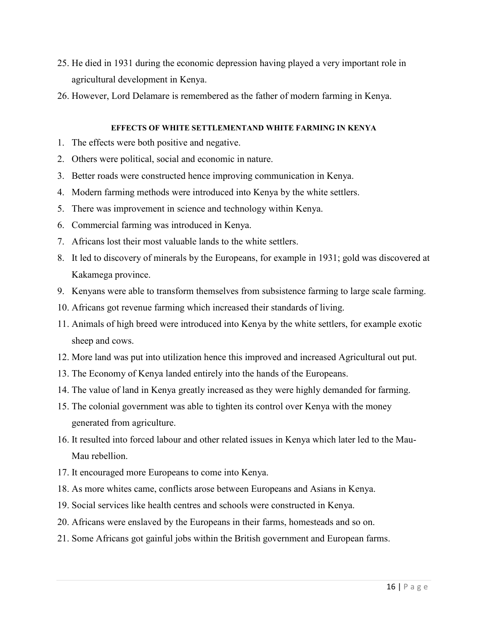- 25. He died in 1931 during the economic depression having played a very important role in agricultural development in Kenya.
- 26. However, Lord Delamare is remembered as the father of modern farming in Kenya.

#### **EFFECTS OF WHITE SETTLEMENTAND WHITE FARMING IN KENYA**

- 1. The effects were both positive and negative.
- 2. Others were political, social and economic in nature.
- 3. Better roads were constructed hence improving communication in Kenya.
- 4. Modern farming methods were introduced into Kenya by the white settlers.
- 5. There was improvement in science and technology within Kenya.
- 6. Commercial farming was introduced in Kenya.
- 7. Africans lost their most valuable lands to the white settlers.
- 8. It led to discovery of minerals by the Europeans, for example in 1931; gold was discovered at Kakamega province.
- 9. Kenyans were able to transform themselves from subsistence farming to large scale farming.
- 10. Africans got revenue farming which increased their standards of living.
- 11. Animals of high breed were introduced into Kenya by the white settlers, for example exotic sheep and cows.
- 12. More land was put into utilization hence this improved and increased Agricultural out put.
- 13. The Economy of Kenya landed entirely into the hands of the Europeans.
- 14. The value of land in Kenya greatly increased as they were highly demanded for farming.
- 15. The colonial government was able to tighten its control over Kenya with the money generated from agriculture.
- 16. It resulted into forced labour and other related issues in Kenya which later led to the Mau-Mau rebellion.
- 17. It encouraged more Europeans to come into Kenya.
- 18. As more whites came, conflicts arose between Europeans and Asians in Kenya.
- 19. Social services like health centres and schools were constructed in Kenya.
- 20. Africans were enslaved by the Europeans in their farms, homesteads and so on.
- 21. Some Africans got gainful jobs within the British government and European farms.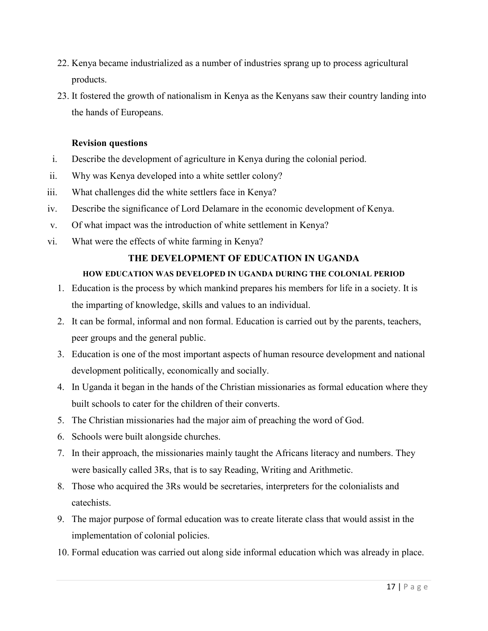- 22. Kenya became industrialized as a number of industries sprang up to process agricultural products.
- 23. It fostered the growth of nationalism in Kenya as the Kenyans saw their country landing into the hands of Europeans.

- i. Describe the development of agriculture in Kenya during the colonial period.
- ii. Why was Kenya developed into a white settler colony?
- iii. What challenges did the white settlers face in Kenya?
- iv. Describe the significance of Lord Delamare in the economic development of Kenya.
- v. Of what impact was the introduction of white settlement in Kenya?
- vi. What were the effects of white farming in Kenya?

### **THE DEVELOPMENT OF EDUCATION IN UGANDA**

#### **HOW EDUCATION WAS DEVELOPED IN UGANDA DURING THE COLONIAL PERIOD**

- 1. Education is the process by which mankind prepares his members for life in a society. It is the imparting of knowledge, skills and values to an individual.
- 2. It can be formal, informal and non formal. Education is carried out by the parents, teachers, peer groups and the general public.
- 3. Education is one of the most important aspects of human resource development and national development politically, economically and socially.
- 4. In Uganda it began in the hands of the Christian missionaries as formal education where they built schools to cater for the children of their converts.
- 5. The Christian missionaries had the major aim of preaching the word of God.
- 6. Schools were built alongside churches.
- 7. In their approach, the missionaries mainly taught the Africans literacy and numbers. They were basically called 3Rs, that is to say Reading, Writing and Arithmetic.
- 8. Those who acquired the 3Rs would be secretaries, interpreters for the colonialists and catechists.
- 9. The major purpose of formal education was to create literate class that would assist in the implementation of colonial policies.
- 10. Formal education was carried out along side informal education which was already in place.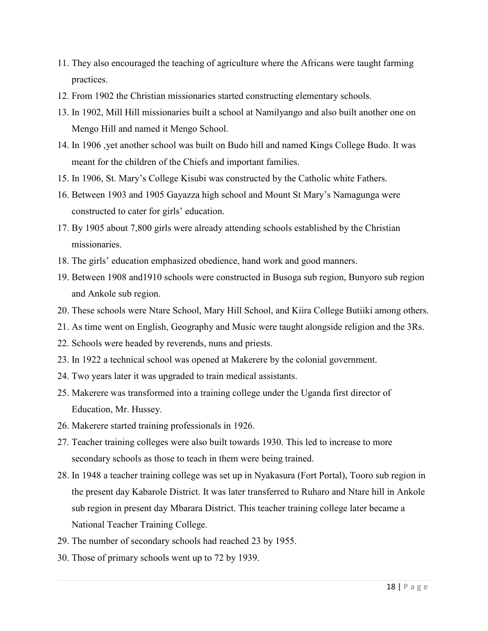- 11. They also encouraged the teaching of agriculture where the Africans were taught farming practices.
- 12. From 1902 the Christian missionaries started constructing elementary schools.
- 13. In 1902, Mill Hill missionaries built a school at Namilyango and also built another one on Mengo Hill and named it Mengo School.
- 14. In 1906 ,yet another school was built on Budo hill and named Kings College Budo. It was meant for the children of the Chiefs and important families.
- 15. In 1906, St. Mary's College Kisubi was constructed by the Catholic white Fathers.
- 16. Between 1903 and 1905 Gayazza high school and Mount St Mary's Namagunga were constructed to cater for girls' education.
- 17. By 1905 about 7,800 girls were already attending schools established by the Christian missionaries.
- 18. The girls' education emphasized obedience, hand work and good manners.
- 19. Between 1908 and1910 schools were constructed in Busoga sub region, Bunyoro sub region and Ankole sub region.
- 20. These schools were Ntare School, Mary Hill School, and Kiira College Butiiki among others.
- 21. As time went on English, Geography and Music were taught alongside religion and the 3Rs.
- 22. Schools were headed by reverends, nuns and priests.
- 23. In 1922 a technical school was opened at Makerere by the colonial government.
- 24. Two years later it was upgraded to train medical assistants.
- 25. Makerere was transformed into a training college under the Uganda first director of Education, Mr. Hussey.
- 26. Makerere started training professionals in 1926.
- 27. Teacher training colleges were also built towards 1930. This led to increase to more secondary schools as those to teach in them were being trained.
- 28. In 1948 a teacher training college was set up in Nyakasura (Fort Portal), Tooro sub region in the present day Kabarole District. It was later transferred to Ruharo and Ntare hill in Ankole sub region in present day Mbarara District. This teacher training college later became a National Teacher Training College.
- 29. The number of secondary schools had reached 23 by 1955.
- 30. Those of primary schools went up to 72 by 1939.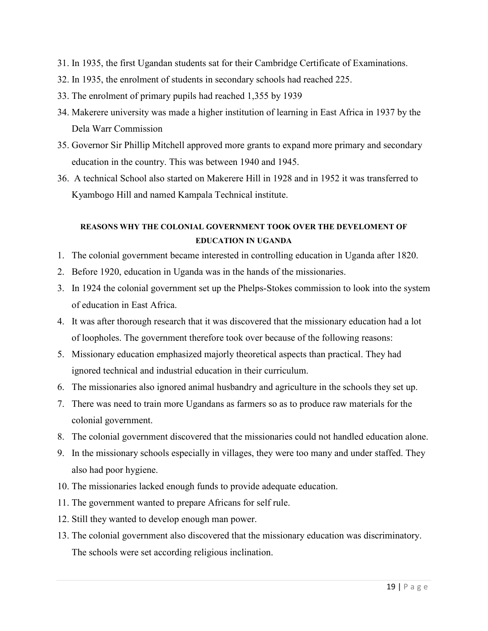- 31. In 1935, the first Ugandan students sat for their Cambridge Certificate of Examinations.
- 32. In 1935, the enrolment of students in secondary schools had reached 225.
- 33. The enrolment of primary pupils had reached 1,355 by 1939
- 34. Makerere university was made a higher institution of learning in East Africa in 1937 by the Dela Warr Commission
- 35. Governor Sir Phillip Mitchell approved more grants to expand more primary and secondary education in the country. This was between 1940 and 1945.
- 36. A technical School also started on Makerere Hill in 1928 and in 1952 it was transferred to Kyambogo Hill and named Kampala Technical institute.

### **REASONS WHY THE COLONIAL GOVERNMENT TOOK OVER THE DEVELOMENT OF EDUCATION IN UGANDA**

- 1. The colonial government became interested in controlling education in Uganda after 1820.
- 2. Before 1920, education in Uganda was in the hands of the missionaries.
- 3. In 1924 the colonial government set up the Phelps-Stokes commission to look into the system of education in East Africa.
- 4. It was after thorough research that it was discovered that the missionary education had a lot of loopholes. The government therefore took over because of the following reasons:
- 5. Missionary education emphasized majorly theoretical aspects than practical. They had ignored technical and industrial education in their curriculum.
- 6. The missionaries also ignored animal husbandry and agriculture in the schools they set up.
- 7. There was need to train more Ugandans as farmers so as to produce raw materials for the colonial government.
- 8. The colonial government discovered that the missionaries could not handled education alone.
- 9. In the missionary schools especially in villages, they were too many and under staffed. They also had poor hygiene.
- 10. The missionaries lacked enough funds to provide adequate education.
- 11. The government wanted to prepare Africans for self rule.
- 12. Still they wanted to develop enough man power.
- 13. The colonial government also discovered that the missionary education was discriminatory. The schools were set according religious inclination.